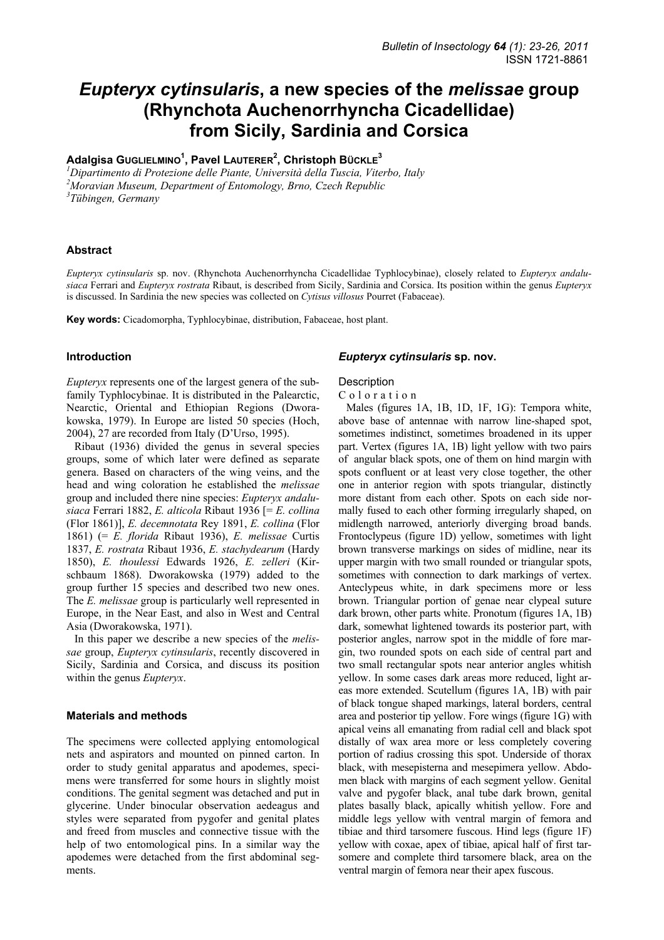# *Eupteryx cytinsularis***, a new species of the** *melissae* **group (Rhynchota Auchenorrhyncha Cicadellidae) from Sicily, Sardinia and Corsica**

# **Adalgisa GUGLIELMINO1 , Pavel LAUTERER2 , Christoph BÜCKLE<sup>3</sup>**

*1 Dipartimento di Protezione delle Piante, Università della Tuscia, Viterbo, Italy 2 Moravian Museum, Department of Entomology, Brno, Czech Republic 3 Tübingen, Germany* 

### **Abstract**

*Eupteryx cytinsularis* sp. nov. (Rhynchota Auchenorrhyncha Cicadellidae Typhlocybinae), closely related to *Eupteryx andalusiaca* Ferrari and *Eupteryx rostrata* Ribaut, is described from Sicily, Sardinia and Corsica. Its position within the genus *Eupteryx* is discussed. In Sardinia the new species was collected on *Cytisus villosus* Pourret (Fabaceae).

**Key words:** Cicadomorpha, Typhlocybinae, distribution, Fabaceae, host plant.

### **Introduction**

*Eupteryx* represents one of the largest genera of the subfamily Typhlocybinae. It is distributed in the Palearctic, Nearctic, Oriental and Ethiopian Regions (Dworakowska, 1979). In Europe are listed 50 species (Hoch, 2004), 27 are recorded from Italy (D'Urso, 1995).

Ribaut (1936) divided the genus in several species groups, some of which later were defined as separate genera. Based on characters of the wing veins, and the head and wing coloration he established the *melissae*  group and included there nine species: *Eupteryx andalusiaca* Ferrari 1882, *E. alticola* Ribaut 1936 [= *E. collina* (Flor 1861)], *E. decemnotata* Rey 1891, *E. collina* (Flor 1861) (= *E. florida* Ribaut 1936), *E. melissae* Curtis 1837, *E. rostrata* Ribaut 1936, *E. stachydearum* (Hardy 1850), *E. thoulessi* Edwards 1926, *E. zelleri* (Kirschbaum 1868). Dworakowska (1979) added to the group further 15 species and described two new ones. The *E. melissae* group is particularly well represented in Europe, in the Near East, and also in West and Central Asia (Dworakowska, 1971).

In this paper we describe a new species of the *melissae* group, *Eupteryx cytinsularis*, recently discovered in Sicily, Sardinia and Corsica, and discuss its position within the genus *Eupteryx*.

### **Materials and methods**

The specimens were collected applying entomological nets and aspirators and mounted on pinned carton. In order to study genital apparatus and apodemes, specimens were transferred for some hours in slightly moist conditions. The genital segment was detached and put in glycerine. Under binocular observation aedeagus and styles were separated from pygofer and genital plates and freed from muscles and connective tissue with the help of two entomological pins. In a similar way the apodemes were detached from the first abdominal segments.

### *Eupteryx cytinsularis* **sp. nov.**

# **Description**

Coloration

Males (figures 1A, 1B, 1D, 1F, 1G): Tempora white, above base of antennae with narrow line-shaped spot, sometimes indistinct, sometimes broadened in its upper part. Vertex (figures 1A, 1B) light yellow with two pairs of angular black spots, one of them on hind margin with spots confluent or at least very close together, the other one in anterior region with spots triangular, distinctly more distant from each other. Spots on each side normally fused to each other forming irregularly shaped, on midlength narrowed, anteriorly diverging broad bands. Frontoclypeus (figure 1D) yellow, sometimes with light brown transverse markings on sides of midline, near its upper margin with two small rounded or triangular spots, sometimes with connection to dark markings of vertex. Anteclypeus white, in dark specimens more or less brown. Triangular portion of genae near clypeal suture dark brown, other parts white. Pronotum (figures 1A, 1B) dark, somewhat lightened towards its posterior part, with posterior angles, narrow spot in the middle of fore margin, two rounded spots on each side of central part and two small rectangular spots near anterior angles whitish yellow. In some cases dark areas more reduced, light areas more extended. Scutellum (figures 1A, 1B) with pair of black tongue shaped markings, lateral borders, central area and posterior tip yellow. Fore wings (figure 1G) with apical veins all emanating from radial cell and black spot distally of wax area more or less completely covering portion of radius crossing this spot. Underside of thorax black, with mesepisterna and mesepimera yellow. Abdomen black with margins of each segment yellow. Genital valve and pygofer black, anal tube dark brown, genital plates basally black, apically whitish yellow. Fore and middle legs yellow with ventral margin of femora and tibiae and third tarsomere fuscous. Hind legs (figure 1F) yellow with coxae, apex of tibiae, apical half of first tarsomere and complete third tarsomere black, area on the ventral margin of femora near their apex fuscous.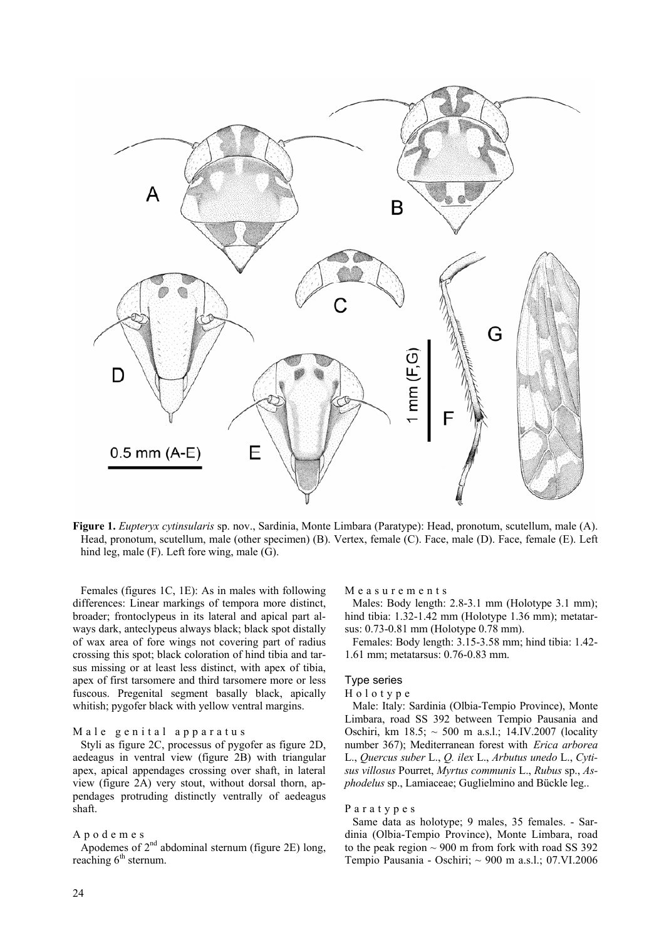

**Figure 1.** *Eupteryx cytinsularis* sp. nov., Sardinia, Monte Limbara (Paratype): Head, pronotum, scutellum, male (A). Head, pronotum, scutellum, male (other specimen) (B). Vertex, female (C). Face, male (D). Face, female (E). Left hind leg, male (F). Left fore wing, male (G).

Females (figures 1C, 1E): As in males with following differences: Linear markings of tempora more distinct, broader; frontoclypeus in its lateral and apical part always dark, anteclypeus always black; black spot distally of wax area of fore wings not covering part of radius crossing this spot; black coloration of hind tibia and tarsus missing or at least less distinct, with apex of tibia, apex of first tarsomere and third tarsomere more or less fuscous. Pregenital segment basally black, apically whitish; pygofer black with yellow ventral margins.

### Male genital apparatus

Styli as figure 2C, processus of pygofer as figure 2D, aedeagus in ventral view (figure 2B) with triangular apex, apical appendages crossing over shaft, in lateral view (figure 2A) very stout, without dorsal thorn, appendages protruding distinctly ventrally of aedeagus shaft.

## Apodemes

Apodemes of  $2<sup>nd</sup>$  abdominal sternum (figure 2E) long, reaching  $6<sup>th</sup>$  sternum.

Measurements

Males: Body length: 2.8-3.1 mm (Holotype 3.1 mm); hind tibia: 1.32-1.42 mm (Holotype 1.36 mm); metatarsus: 0.73-0.81 mm (Holotype 0.78 mm).

Females: Body length: 3.15-3.58 mm; hind tibia: 1.42- 1.61 mm; metatarsus: 0.76-0.83 mm.

# Type series

### Holotype

Male: Italy: Sardinia (Olbia-Tempio Province), Monte Limbara, road SS 392 between Tempio Pausania and Oschiri, km 18.5; ~ 500 m a.s.l.; 14.IV.2007 (locality number 367); Mediterranean forest with *Erica arborea* L., *Quercus suber* L., *Q. ilex* L., *Arbutus unedo* L., *Cytisus villosus* Pourret, *Myrtus communis* L., *Rubus* sp., *Asphodelus* sp., Lamiaceae; Guglielmino and Bückle leg..

#### Paratypes

Same data as holotype; 9 males, 35 females. - Sardinia (Olbia-Tempio Province), Monte Limbara, road to the peak region  $\sim$  900 m from fork with road SS 392 Tempio Pausania - Oschiri; ~ 900 m a.s.l.; 07.VI.2006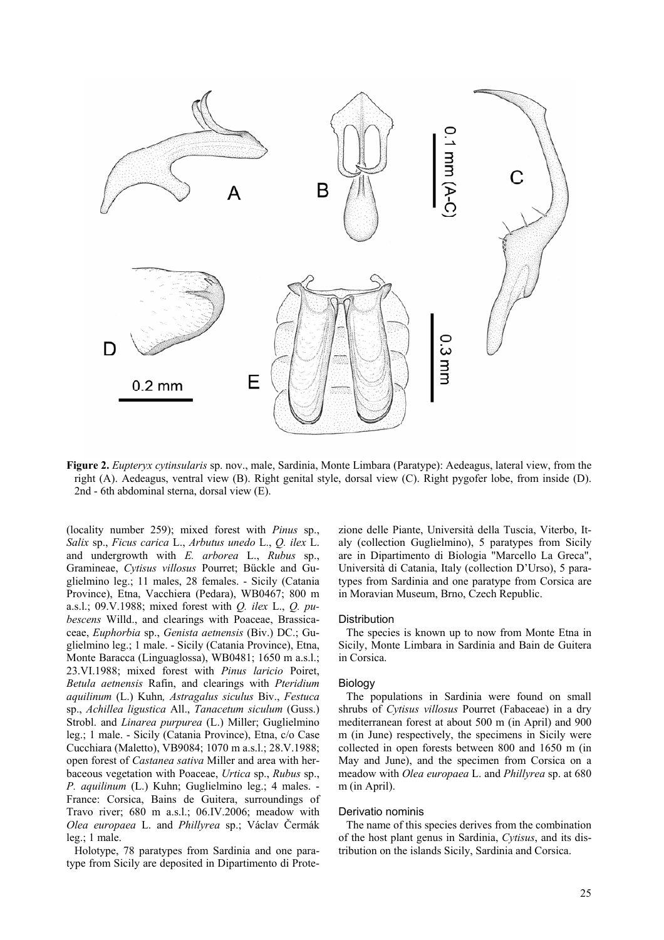

**Figure 2.** *Eupteryx cytinsularis* sp. nov., male, Sardinia, Monte Limbara (Paratype): Aedeagus, lateral view, from the right (A). Aedeagus, ventral view (B). Right genital style, dorsal view (C). Right pygofer lobe, from inside (D). 2nd - 6th abdominal sterna, dorsal view (E).

(locality number 259); mixed forest with *Pinus* sp., *Salix* sp., *Ficus carica* L., *Arbutus unedo* L., *Q. ilex* L. and undergrowth with *E. arborea* L., *Rubus* sp., Gramineae, *Cytisus villosus* Pourret; Bückle and Guglielmino leg.; 11 males, 28 females. - Sicily (Catania Province), Etna, Vacchiera (Pedara), WB0467; 800 m a.s.l.; 09.V.1988; mixed forest with *Q. ilex* L., *Q. pubescens* Willd., and clearings with Poaceae, Brassicaceae, *Euphorbia* sp., *Genista aetnensis* (Biv.) DC.; Guglielmino leg.; 1 male. - Sicily (Catania Province), Etna, Monte Baracca (Linguaglossa), WB0481; 1650 m a.s.l.; 23.VI.1988; mixed forest with *Pinus laricio* Poiret, *Betula aetnensis* Rafin, and clearings with *Pteridium aquilinum* (L.) Kuhn*, Astragalus siculus* Biv., *Festuca*  sp., *Achillea ligustica* All., *Tanacetum siculum* (Guss.) Strobl. and *Linarea purpurea* (L.) Miller; Guglielmino leg.; 1 male. - Sicily (Catania Province), Etna, c/o Case Cucchiara (Maletto), VB9084; 1070 m a.s.l.; 28.V.1988; open forest of *Castanea sativa* Miller and area with herbaceous vegetation with Poaceae, *Urtica* sp., *Rubus* sp., *P. aquilinum* (L.) Kuhn; Guglielmino leg.; 4 males. - France: Corsica, Bains de Guitera, surroundings of Travo river; 680 m a.s.l.; 06.IV.2006; meadow with *Olea europaea* L. and *Phillyrea* sp.; Václav Čermák leg.; 1 male.

Holotype, 78 paratypes from Sardinia and one paratype from Sicily are deposited in Dipartimento di Prote-

zione delle Piante, Università della Tuscia, Viterbo, Italy (collection Guglielmino), 5 paratypes from Sicily are in Dipartimento di Biologia "Marcello La Greca", Università di Catania, Italy (collection D'Urso), 5 paratypes from Sardinia and one paratype from Corsica are in Moravian Museum, Brno, Czech Republic.

### **Distribution**

The species is known up to now from Monte Etna in Sicily, Monte Limbara in Sardinia and Bain de Guitera in Corsica.

### Biology

The populations in Sardinia were found on small shrubs of *Cytisus villosus* Pourret (Fabaceae) in a dry mediterranean forest at about 500 m (in April) and 900 m (in June) respectively, the specimens in Sicily were collected in open forests between 800 and 1650 m (in May and June), and the specimen from Corsica on a meadow with *Olea europaea* L. and *Phillyrea* sp. at 680 m (in April).

# Derivatio nominis

The name of this species derives from the combination of the host plant genus in Sardinia, *Cytisus*, and its distribution on the islands Sicily, Sardinia and Corsica.